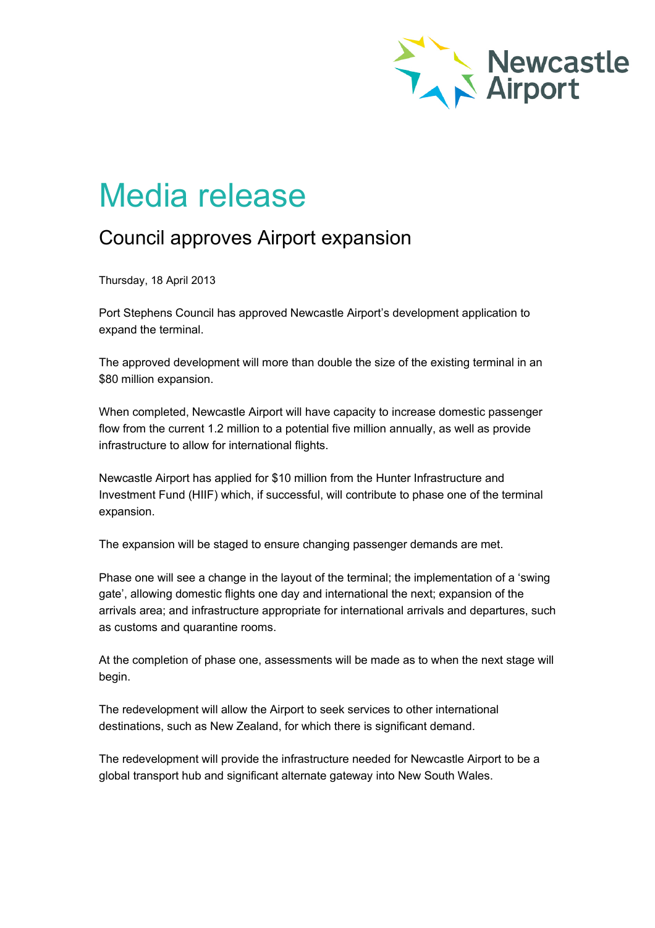

## Media release

## Council approves Airport expansion

Thursday, 18 April 2013

Port Stephens Council has approved Newcastle Airport's development application to expand the terminal.

The approved development will more than double the size of the existing terminal in an \$80 million expansion.

When completed, Newcastle Airport will have capacity to increase domestic passenger flow from the current 1.2 million to a potential five million annually, as well as provide infrastructure to allow for international flights.

Newcastle Airport has applied for \$10 million from the Hunter Infrastructure and Investment Fund (HIIF) which, if successful, will contribute to phase one of the terminal expansion.

The expansion will be staged to ensure changing passenger demands are met.

Phase one will see a change in the layout of the terminal; the implementation of a 'swing gate', allowing domestic flights one day and international the next; expansion of the arrivals area; and infrastructure appropriate for international arrivals and departures, such as customs and quarantine rooms.

At the completion of phase one, assessments will be made as to when the next stage will begin.

The redevelopment will allow the Airport to seek services to other international destinations, such as New Zealand, for which there is significant demand.

The redevelopment will provide the infrastructure needed for Newcastle Airport to be a global transport hub and significant alternate gateway into New South Wales.